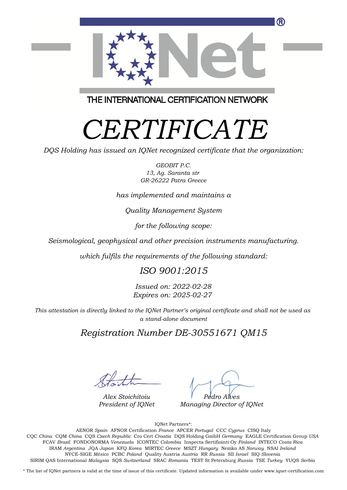

THE INTERNATIONAL CERTIFICATION NETWORK

# *CERTIFICATE*

*DQS Holding has issued an IQNet recognized certificate that the organization:*

*GEOBIT P.C. 13, Ag. Saranta str GR-26222 Patra Greece*

*has implemented and maintains a*

*Quality Management System*

*for the following scope:*

*Seismological, geophysical and other precision instruments manufacturing.*

*which fulfils the requirements of the following standard:*

#### *ISO 9001:2015*

*Issued on: 2022-02-28 Expires on: 2025-02-27*

*This attestation is directly linked to the IQNet Partner's original certificate and shall not be used as a stand-alone document*

### *Registration Number DE-30551671 QM15*

*Alex Stoichitoiu President of IQNet*

*Pedro Alves*

*Managing Director of IQNet*

IQNet Partners\*:

This annex is only valid in connection with the above-mentioned certificate. FCAV *Brazil* FONDONORMA *Venezuela* ICONTEC *Colombia* Inspecta Sertifiointi Oy *Finland* INTECO *Costa Rica* AENOR *Spain* AFNOR Certification *France* APCER *Portugal* CCC *Cyprus* CISQ Italy CQC *China* CQM *China* CQS *Czech Republic* Cro Cert *Croatia* DQS Holding GmbH *Germany* EAGLE Certification Group *USA* IRAM *Argentina* JQA *Japan* KFQ *Korea* MIRTEC *Greece* MSZT *Hungary* Nemko AS *Norway* NSAI *Ireland* NYCE-SIGE *México* PCBC *Poland* Quality Austria *Austria* RR *Russia* SII *Israel* SIQ *Slovenia* SIRIM QAS International *Malaysia* SQS *Switzerland* SRAC *Romania* TEST St Petersburg *Russia* TSE *Turkey* YUQS *Serbia*

\* The list of IQNet partners is valid at the time of issue of this certificate. Updated information is available under www.iqnet-certification.com